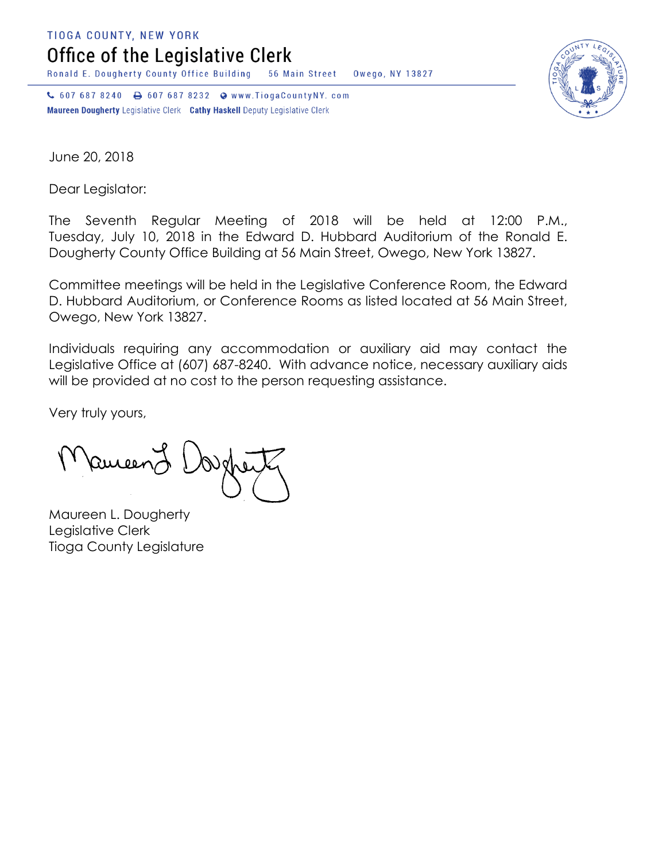**TIOGA COUNTY, NEW YORK** 

Office of the Legislative Clerk

Ronald E. Dougherty County Office Building 56 Main Street Owego, NY 13827

↓ 607 687 8240 → 607 687 8232 → www.TiogaCountyNY.com Maureen Dougherty Legislative Clerk Cathy Haskell Deputy Legislative Clerk



June 20, 2018

Dear Legislator:

The Seventh Regular Meeting of 2018 will be held at 12:00 P.M., Tuesday, July 10, 2018 in the Edward D. Hubbard Auditorium of the Ronald E. Dougherty County Office Building at 56 Main Street, Owego, New York 13827.

Committee meetings will be held in the Legislative Conference Room, the Edward D. Hubbard Auditorium, or Conference Rooms as listed located at 56 Main Street, Owego, New York 13827.

Individuals requiring any accommodation or auxiliary aid may contact the Legislative Office at (607) 687-8240. With advance notice, necessary auxiliary aids will be provided at no cost to the person requesting assistance.

Very truly yours,

Ruicen

Maureen L. Dougherty Legislative Clerk Tioga County Legislature